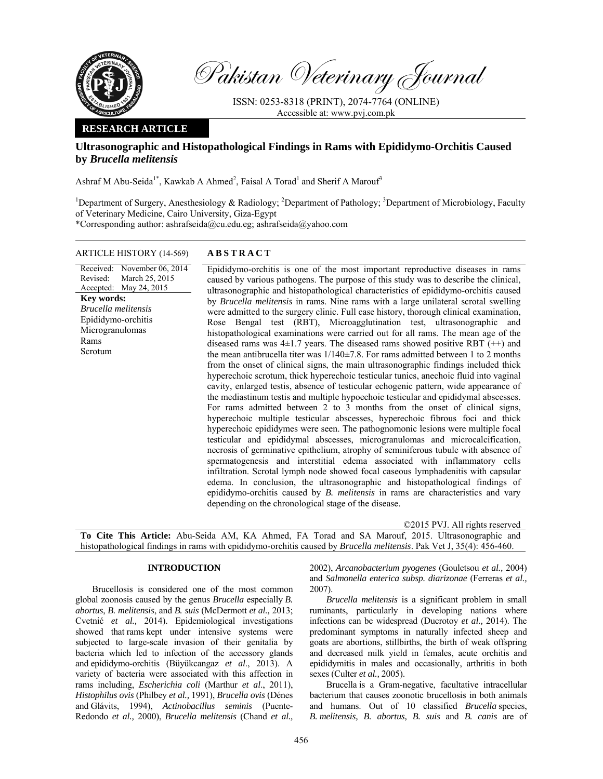

Pakistan Veterinary Journal

ISSN: 0253-8318 (PRINT), 2074-7764 (ONLINE) Accessible at: www.pvj.com.pk

# **RESEARCH ARTICLE**

# **Ultrasonographic and Histopathological Findings in Rams with Epididymo-Orchitis Caused by** *Brucella melitensis*

Ashraf M Abu-Seida<sup>1\*</sup>, Kawkab A Ahmed<sup>2</sup>, Faisal A Torad<sup>1</sup> and Sherif A Marouf<sup>3</sup>

<sup>1</sup>Department of Surgery, Anesthesiology & Radiology; <sup>2</sup>Department of Pathology; <sup>3</sup>Department of Microbiology, Faculty of Veterinary Medicine, Cairo University, Giza-Egypt

\*Corresponding author: ashrafseida@cu.edu.eg; ashrafseida@yahoo.com

# ARTICLE HISTORY (14-569) **ABSTRACT**

Received: Revised: Accepted: May 24, 2015 November 06, 2014 March 25, 2015 **Key words:**  *Brucella melitensis*  Epididymo-orchitis Microgranulomas Rams Scrotum

Epididymo-orchitis is one of the most important reproductive diseases in rams caused by various pathogens. The purpose of this study was to describe the clinical, ultrasonographic and histopathological characteristics of epididymo-orchitis caused by *Brucella melitensis* in rams. Nine rams with a large unilateral scrotal swelling were admitted to the surgery clinic. Full case history, thorough clinical examination, Rose Bengal test (RBT), Microagglutination test, ultrasonographic and histopathological examinations were carried out for all rams. The mean age of the diseased rams was  $4\pm 1.7$  years. The diseased rams showed positive RBT  $(++)$  and the mean antibrucella titer was  $1/140\pm7.8$ . For rams admitted between 1 to 2 months from the onset of clinical signs, the main ultrasonographic findings included thick hyperechoic scrotum, thick hyperechoic testicular tunics, anechoic fluid into vaginal cavity, enlarged testis, absence of testicular echogenic pattern, wide appearance of the mediastinum testis and multiple hypoechoic testicular and epididymal abscesses. For rams admitted between 2 to 3 months from the onset of clinical signs, hyperechoic multiple testicular abscesses, hyperechoic fibrous foci and thick hyperechoic epididymes were seen. The pathognomonic lesions were multiple focal testicular and epididymal abscesses, microgranulomas and microcalcification, necrosis of germinative epithelium, atrophy of seminiferous tubule with absence of spermatogenesis and interstitial edema associated with inflammatory cells infiltration. Scrotal lymph node showed focal caseous lymphadenitis with capsular edema. In conclusion, the ultrasonographic and histopathological findings of epididymo-orchitis caused by *B. melitensis* in rams are characteristics and vary depending on the chronological stage of the disease.

|                                                                                                                              |  |  |  |  |  |  |  |  |  |  |  |  |  | ©2015 PVJ. All rights reserved                                                                          |
|------------------------------------------------------------------------------------------------------------------------------|--|--|--|--|--|--|--|--|--|--|--|--|--|---------------------------------------------------------------------------------------------------------|
|                                                                                                                              |  |  |  |  |  |  |  |  |  |  |  |  |  | <b>To Cite This Article:</b> Abu-Seida AM, KA Ahmed, FA Torad and SA Marouf, 2015. Ultrasonographic and |
| histopathological findings in rams with epididymo-orchitis caused by <i>Brucella melitensis</i> . Pak Vet J, 35(4): 456-460. |  |  |  |  |  |  |  |  |  |  |  |  |  |                                                                                                         |

## **INTRODUCTION**

Brucellosis is considered one of the most common global zoonosis caused by the genus *Brucella* especially *B. abortus*, *B. melitensis*, and *B. suis* (McDermott *et al.,* 2013; Cvetnić *et al.,* 2014). Epidemiological investigations showed that rams kept under intensive systems were subjected to large-scale invasion of their genitalia by bacteria which led to infection of the accessory glands and epididymo-orchitis (Büyükcangaz *et al*., 2013). A variety of bacteria were associated with this affection in rams including, *Escherichia coli* (Marthur *et al*., 2011), *Histophilus ovis* (Philbey *et al.,* 1991), *Brucella ovis* (Dénes and Glávits, 1994), *Actinobacillus seminis* (Puente-Redondo *et al.,* 2000), *Brucella melitensis* (Chand *et al.,*

2002), *Arcanobacterium pyogenes* (Gouletsou *et al.,* 2004) and *Salmonella enterica subsp. diarizonae* (Ferreras *et al.,* 2007).

*Brucella melitensis* is a significant problem in small ruminants, particularly in developing nations where infections can be widespread (Ducrotoy *et al.,* 2014). The predominant symptoms in naturally infected sheep and goats are abortions, stillbirths, the birth of weak offspring and decreased milk yield in females, acute orchitis and epididymitis in males and occasionally, arthritis in both sexes (Culter *et al.,* 2005).

Brucella is a Gram-negative, facultative intracellular bacterium that causes zoonotic brucellosis in both animals and humans. Out of 10 classified *Brucella* species, *B. melitensis, B. abortus, B. suis* and *B. canis* are of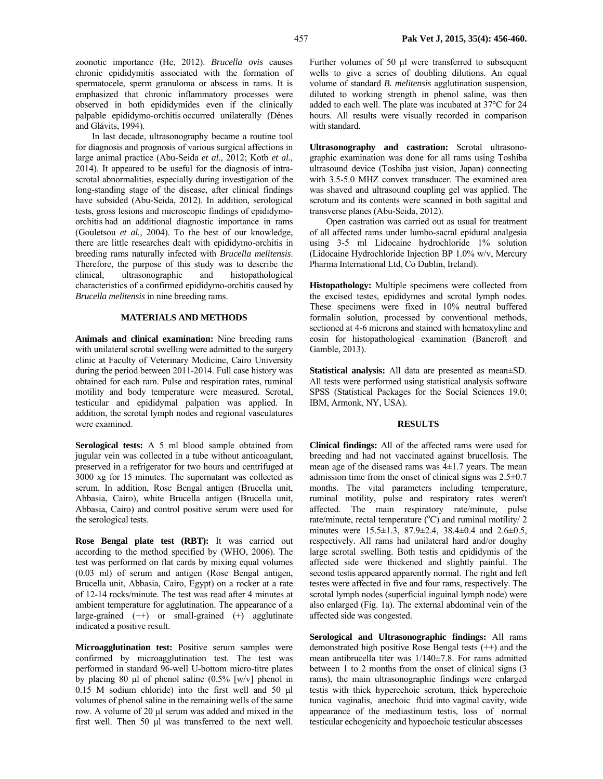In last decade, ultrasonography became a routine tool for diagnosis and prognosis of various surgical affections in large animal practice (Abu-Seida *et al.,* 2012; Kotb *et al.,* 2014). It appeared to be useful for the diagnosis of intrascrotal abnormalities, especially during investigation of the long-standing stage of the disease, after clinical findings have subsided (Abu-Seida, 2012). In addition, serological tests, gross lesions and microscopic findings of epididymoorchitis had an additional diagnostic importance in rams (Gouletsou *et al.,* 2004). To the best of our knowledge, there are little researches dealt with epididymo-orchitis in breeding rams naturally infected with *Brucella melitensis*. Therefore, the purpose of this study was to describe the clinical, ultrasonographic and histopathological characteristics of a confirmed epididymo-orchitis caused by *Brucella melitensis* in nine breeding rams.

#### **MATERIALS AND METHODS**

**Animals and clinical examination:** Nine breeding rams with unilateral scrotal swelling were admitted to the surgery clinic at Faculty of Veterinary Medicine, Cairo University during the period between 2011-2014. Full case history was obtained for each ram. Pulse and respiration rates, ruminal motility and body temperature were measured. Scrotal, testicular and epididymal palpation was applied. In addition, the scrotal lymph nodes and regional vasculatures were examined.

**Serological tests:** A 5 ml blood sample obtained from jugular vein was collected in a tube without anticoagulant, preserved in a refrigerator for two hours and centrifuged at 3000 xg for 15 minutes. The supernatant was collected as serum. In addition, Rose Bengal antigen (Brucella unit, Abbasia, Cairo), white Brucella antigen (Brucella unit, Abbasia, Cairo) and control positive serum were used for the serological tests.

**Rose Bengal plate test (RBT):** It was carried out according to the method specified by (WHO, 2006). The test was performed on flat cards by mixing equal volumes (0.03 ml) of serum and antigen (Rose Bengal antigen, Brucella unit, Abbasia, Cairo, Egypt) on a rocker at a rate of 12-14 rocks/minute. The test was read after 4 minutes at ambient temperature for agglutination. The appearance of a large-grained  $(++)$  or small-grained  $(+)$  agglutinate indicated a positive result.

**Microagglutination test:** Positive serum samples were confirmed by microagglutination test. The test was performed in standard 96-well U-bottom micro-titre plates by placing 80  $\mu$ l of phenol saline (0.5% [w/v] phenol in 0.15 M sodium chloride) into the first well and 50 µl volumes of phenol saline in the remaining wells of the same row. A volume of 20 µl serum was added and mixed in the first well. Then 50 µl was transferred to the next well.

Further volumes of 50 µl were transferred to subsequent wells to give a series of doubling dilutions. An equal volume of standard *B. melitensis* agglutination suspension, diluted to working strength in phenol saline, was then added to each well. The plate was incubated at 37°C for 24 hours. All results were visually recorded in comparison with standard.

**Ultrasonography and castration:** Scrotal ultrasonographic examination was done for all rams using Toshiba ultrasound device (Toshiba just vision, Japan) connecting with 3.5-5.0 MHZ convex transducer. The examined area was shaved and ultrasound coupling gel was applied. The scrotum and its contents were scanned in both sagittal and transverse planes (Abu-Seida, 2012).

Open castration was carried out as usual for treatment of all affected rams under lumbo-sacral epidural analgesia using 3-5 ml Lidocaine hydrochloride 1% solution (Lidocaine Hydrochloride Injection BP 1.0% w/v, Mercury Pharma International Ltd, Co Dublin, Ireland).

**Histopathology:** Multiple specimens were collected from the excised testes, epididymes and scrotal lymph nodes. These specimens were fixed in 10% neutral buffered formalin solution, processed by conventional methods, sectioned at 4-6 microns and stained with hematoxyline and eosin for histopathological examination (Bancroft and Gamble, 2013).

**Statistical analysis:** All data are presented as mean±SD. All tests were performed using statistical analysis software SPSS (Statistical Packages for the Social Sciences 19.0; IBM, Armonk, NY, USA).

#### **RESULTS**

**Clinical findings:** All of the affected rams were used for breeding and had not vaccinated against brucellosis. The mean age of the diseased rams was 4±1.7 years. The mean admission time from the onset of clinical signs was 2.5±0.7 months. The vital parameters including temperature, ruminal motility, pulse and respiratory rates weren't affected. The main respiratory rate/minute, pulse rate/minute, rectal temperature  $({\rm ^oC})$  and ruminal motility/ 2 minutes were 15.5±1.3, 87.9±2.4, 38.4±0.4 and 2.6±0.5, respectively. All rams had unilateral hard and/or doughy large scrotal swelling. Both testis and epididymis of the affected side were thickened and slightly painful. The second testis appeared apparently normal. The right and left testes were affected in five and four rams, respectively. The scrotal lymph nodes (superficial inguinal lymph node) were also enlarged (Fig. 1a). The external abdominal vein of the affected side was congested.

**Serological and Ultrasonographic findings:** All rams demonstrated high positive Rose Bengal tests (++) and the mean antibrucella titer was 1/140±7.8. For rams admitted between 1 to 2 months from the onset of clinical signs (3 rams), the main ultrasonographic findings were enlarged testis with thick hyperechoic scrotum, thick hyperechoic tunica vaginalis, anechoic fluid into vaginal cavity, wide appearance of the mediastinum testis, loss of normal testicular echogenicity and hypoechoic testicular abscesses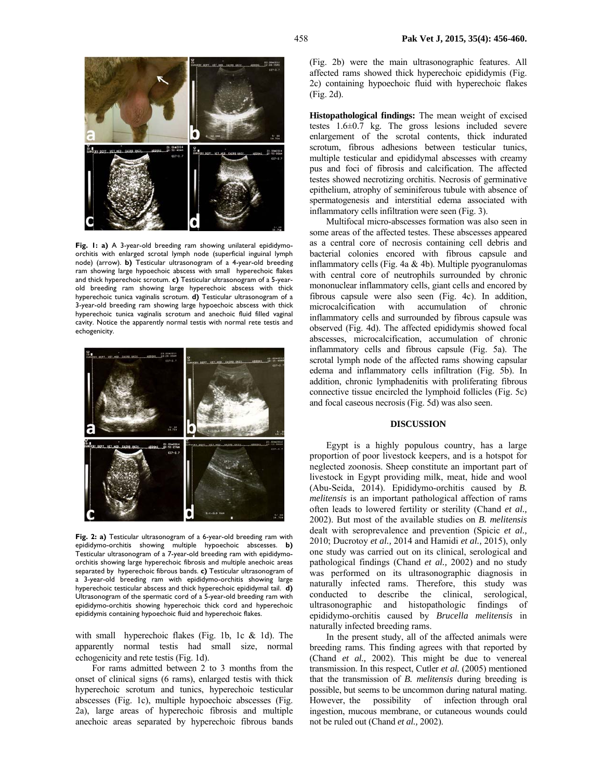

**Fig. 1: a)** A 3-year-old breeding ram showing unilateral epididymoorchitis with enlarged scrotal lymph node (superficial inguinal lymph node) (arrow). **b)** Testicular ultrasonogram of a 4-year-old breeding ram showing large hypoechoic abscess with small hyperechoic flakes and thick hyperechoic scrotum. **c)** Testicular ultrasonogram of a 5-yearold breeding ram showing large hyperechoic abscess with thick hyperechoic tunica vaginalis scrotum. **d)** Testicular ultrasonogram of a 3-year-old breeding ram showing large hypoechoic abscess with thick hyperechoic tunica vaginalis scrotum and anechoic fluid filled vaginal cavity. Notice the apparently normal testis with normal rete testis and echogenicity.



**Fig. 2: a)** Testicular ultrasonogram of a 6-year-old breeding ram with epididymo-orchitis showing multiple hypoechoic abscesses. **b)** Testicular ultrasonogram of a 7-year-old breeding ram with epididymoorchitis showing large hyperechoic fibrosis and multiple anechoic areas separated by hyperechoic fibrous bands. **c)** Testicular ultrasonogram of a 3-year-old breeding ram with epididymo-orchitis showing large hyperechoic testicular abscess and thick hyperechoic epididymal tail. **d)**  Ultrasonogram of the spermatic cord of a 5-year-old breeding ram with epididymo-orchitis showing hyperechoic thick cord and hyperechoic epididymis containing hypoechoic fluid and hyperechoic flakes.

with small hyperechoic flakes (Fig. 1b, 1c & 1d). The apparently normal testis had small size, normal echogenicity and rete testis (Fig. 1d).

For rams admitted between 2 to 3 months from the onset of clinical signs (6 rams), enlarged testis with thick hyperechoic scrotum and tunics, hyperechoic testicular abscesses (Fig. 1c), multiple hypoechoic abscesses (Fig. 2a), large areas of hyperechoic fibrosis and multiple anechoic areas separated by hyperechoic fibrous bands (Fig. 2b) were the main ultrasonographic features. All affected rams showed thick hyperechoic epididymis (Fig. 2c) containing hypoechoic fluid with hyperechoic flakes (Fig. 2d).

**Histopathological findings:** The mean weight of excised testes 1.6±0.7 kg. The gross lesions included severe enlargement of the scrotal contents, thick indurated scrotum, fibrous adhesions between testicular tunics, multiple testicular and epididymal abscesses with creamy pus and foci of fibrosis and calcification. The affected testes showed necrotizing orchitis. Necrosis of germinative epithelium, atrophy of seminiferous tubule with absence of spermatogenesis and interstitial edema associated with inflammatory cells infiltration were seen (Fig. 3).

Multifocal micro-abscesses formation was also seen in some areas of the affected testes. These abscesses appeared as a central core of necrosis containing cell debris and bacterial colonies encored with fibrous capsule and inflammatory cells (Fig. 4a  $&$  4b). Multiple pyogranulomas with central core of neutrophils surrounded by chronic mononuclear inflammatory cells, giant cells and encored by fibrous capsule were also seen (Fig. 4c). In addition, microcalcification with accumulation of chronic inflammatory cells and surrounded by fibrous capsule was observed (Fig. 4d). The affected epididymis showed focal abscesses, microcalcification, accumulation of chronic inflammatory cells and fibrous capsule (Fig. 5a). The scrotal lymph node of the affected rams showing capsular edema and inflammatory cells infiltration (Fig. 5b). In addition, chronic lymphadenitis with proliferating fibrous connective tissue encircled the lymphoid follicles (Fig. 5c) and focal caseous necrosis (Fig. 5d) was also seen.

#### **DISCUSSION**

Egypt is a highly populous country, has a large proportion of poor livestock keepers, and is a hotspot for neglected zoonosis. Sheep constitute an important part of livestock in Egypt providing milk, meat, hide and wool (Abu-Seida, 2014). Epididymo-orchitis caused by *B. melitensis* is an important pathological affection of rams often leads to lowered fertility or sterility (Chand *et al.,* 2002). But most of the available studies on *B. melitensis* dealt with seroprevalence and prevention (Spicic *et al.,* 2010; Ducrotoy *et al.,* 2014 and Hamidi *et al.,* 2015), only one study was carried out on its clinical, serological and pathological findings (Chand *et al.,* 2002) and no study was performed on its ultrasonographic diagnosis in naturally infected rams. Therefore, this study was conducted to describe the clinical, serological, ultrasonographic and histopathologic findings of epididymo-orchitis caused by *Brucella melitensis* in naturally infected breeding rams.

In the present study, all of the affected animals were breeding rams. This finding agrees with that reported by (Chand *et al.,* 2002). This might be due to venereal transmission. In this respect, Cutler *et al.* (2005) mentioned that the transmission of *B. melitensis* during breeding is possible, but seems to be uncommon during natural mating. However, the possibility of infection through oral ingestion, mucous membrane, or cutaneous wounds could not be ruled out (Chand *et al.,* 2002).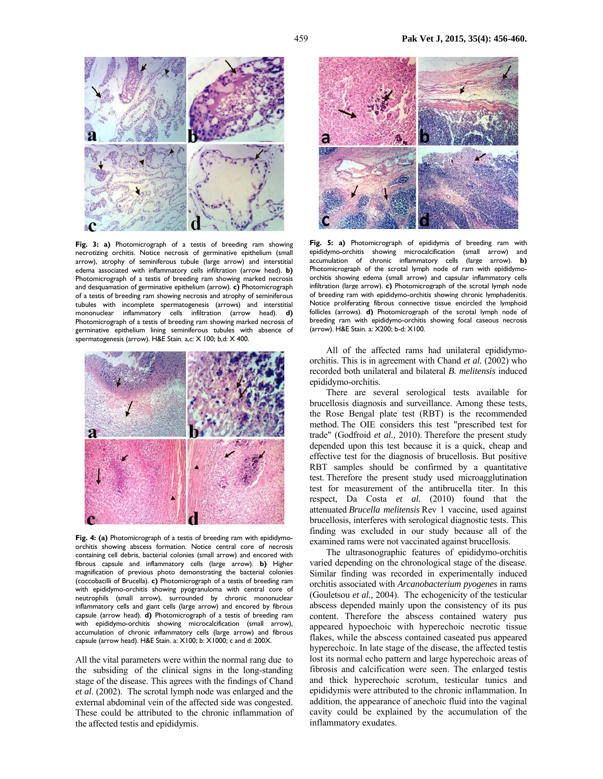

**Fig. 3: a)** Photomicrograph of a testis of breeding ram showing necrotizing orchitis. Notice necrosis of germinative epithelium (small arrow), atrophy of seminiferous tubule (large arrow) and interstitial edema associated with inflammatory cells infiltration (arrow head). **b)** Photomicrograph of a testis of breeding ram showing marked necrosis and desquamation of germinative epithelium (arrow). **c)** Photomicrograph of a testis of breeding ram showing necrosis and atrophy of seminiferous tubules with incomplete spermatogenesis (arrows) and interstitial mononuclear inflammatory cells infiltration (arrow head). **d)** Photomicrograph of a testis of breeding ram showing marked necrosis of germinative epithelium lining seminiferous tubules with absence of spermatogenesis (arrow). H&E Stain. a,c: X 100; b,d: X 400.



**Fig. 4: (a)** Photomicrograph of a testis of breeding ram with epididymoorchitis showing abscess formation. Notice central core of necrosis containing cell debris, bacterial colonies (small arrow) and encored with fibrous capsule and inflammatory cells (large arrow). **b)** Higher magnification of previous photo demonstrating the bacterial colonies (coccobacilli of Brucella). **c)** Photomicrograph of a testis of breeding ram with epididymo-orchitis showing pyogranuloma with central core of neutrophils (small arrow), surrounded by chronic mononuclear inflammatory cells and giant cells (large arrow) and encored by fibrous capsule (arrow head). **d)** Photomicrograph of a testis of breeding ram with epididymo-orchitis showing microcalcification (small arrow), accumulation of chronic inflammatory cells (large arrow) and fibrous capsule (arrow head). H&E Stain. a: X100; b: X1000; c and d: 200X.

All the vital parameters were within the normal rang due to the subsiding of the clinical signs in the long-standing stage of the disease. This agrees with the findings of Chand *et al*. (2002). The scrotal lymph node was enlarged and the external abdominal vein of the affected side was congested. These could be attributed to the chronic inflammation of the affected testis and epididymis.



**Fig. 5: a)** Photomicrograph of epididymis of breeding ram with epididymo-orchitis showing microcalcification (small arrow) and accumulation of chronic inflammatory cells (large arrow). **b)** Photomicrograph of the scrotal lymph node of ram with epididymoorchitis showing edema (small arrow) and capsular inflammatory cells infiltration (large arrow). **c)** Photomicrograph of the scrotal lymph node of breeding ram with epididymo-orchitis showing chronic lymphadenitis. Notice proliferating fibrous connective tissue encircled the lymphoid follicles (arrows). **d)** Photomicrograph of the scrotal lymph node of breeding ram with epididymo-orchitis showing focal caseous necrosis (arrow). H&E Stain. a: X200; b-d: X100.

All of the affected rams had unilateral epididymoorchitis. This is in agreement with Chand *et al.* (2002) who recorded both unilateral and bilateral *B. melitensis* induced epididymo-orchitis.

There are several serological tests available for brucellosis diagnosis and surveillance. Among these tests, the Rose Bengal plate test (RBT) is the recommended method. The OIE considers this test "prescribed test for trade" (Godfroid *et al.,* 2010). Therefore the present study depended upon this test because it is a quick, cheap and effective test for the diagnosis of brucellosis. But positive RBT samples should be confirmed by a quantitative test. Therefore the present study used microagglutination test for measurement of the antibrucella titer. In this respect, Da Costa *et al.* (2010) found that the attenuated *Brucella melitensis* Rev 1 vaccine, used against brucellosis, interferes with serological diagnostic tests. This finding was excluded in our study because all of the examined rams were not vaccinated against brucellosis.

The ultrasonographic features of epididymo-orchitis varied depending on the chronological stage of the disease. Similar finding was recorded in experimentally induced orchitis associated with *Arcanobacterium pyogenes* in rams (Gouletsou *et al.,* 2004). The echogenicity of the testicular abscess depended mainly upon the consistency of its pus content. Therefore the abscess contained watery pus appeared hypoechoic with hyperechoic necrotic tissue flakes, while the abscess contained caseated pus appeared hyperechoic. In late stage of the disease, the affected testis lost its normal echo pattern and large hyperechoic areas of fibrosis and calcification were seen. The enlarged testis and thick hyperechoic scrotum, testicular tunics and epididymis were attributed to the chronic inflammation. In addition, the appearance of anechoic fluid into the vaginal cavity could be explained by the accumulation of the inflammatory exudates.